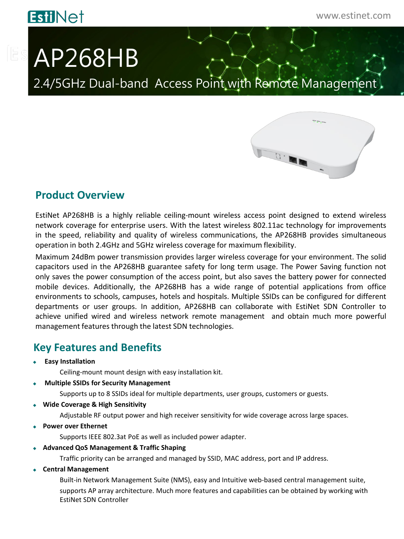# **EstiNet**

# **ES AP268HB**

2.4/5GHz Dual-band Access Point with Remote Management



### **Product Overview**

EstiNet AP268HB is a highly reliable ceiling‐mount wireless access point designed to extend wireless network coverage for enterprise users. With the latest wireless 802.11ac technology for improvements in the speed, reliability and quality of wireless communications, the AP268HB provides simultaneous operation in both 2.4GHz and 5GHz wireless coverage for maximum flexibility.

Maximum 24dBm power transmission provides larger wireless coverage for your environment. The solid capacitors used in the AP268HB guarantee safety for long term usage. The Power Saving function not only saves the power consumption of the access point, but also saves the battery power for connected mobile devices. Additionally, the AP268HB has a wide range of potential applications from office environments to schools, campuses, hotels and hospitals. Multiple SSIDs can be configured for different departments or user groups. In addition, AP268HB can collaborate with EstiNet SDN Controller to achieve unified wired and wireless network remote management and obtain much more powerful management features through the latest SDN technologies.

## **Key Features and Benefits**

**Easy Installation**

Ceiling-mount mount design with easy installation kit.

**Multiple SSIDs for Security Management**

Supports up to 8 SSIDs ideal for multiple departments, user groups, customers or guests.

**Wide Coverage & High Sensitivity**

Adjustable RF output power and high receiver sensitivity for wide coverage across large spaces.

**Power over Ethernet**

Supports IEEE 802.3at PoE as well as included power adapter.

**Advanced QoS Management & Traffic Shaping**

Traffic priority can be arranged and managed by SSID, MAC address, port and IP address.

**Central Management**

Built-in Network Management Suite (NMS), easy and Intuitive web-based central management suite, supports AP array architecture. Much more features and capabilities can be obtained by working with EstiNet SDN Controller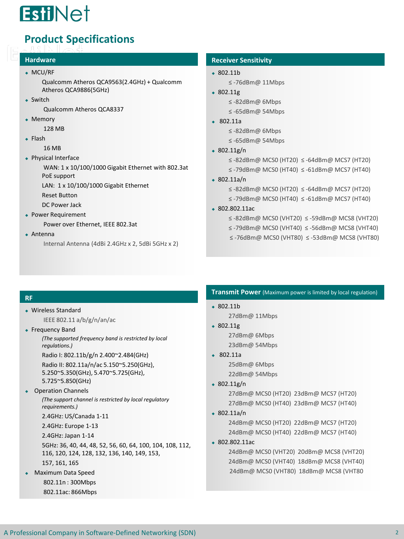

## **Product Specifications**

#### **Hardware**

#### MCU/RF

Qualcomm Atheros QCA9563(2.4GHz) + Qualcomm Atheros QCA9886(5GHz)

• Switch

Qualcomm Atheros QCA8337

• Memory

128 MB

 $\leftarrow$  Flash

16 MB

• Physical Interface

WAN: 1 x 10/100/1000 Gigabit Ethernet with 802.3at PoE support

LAN: 1 x 10/100/1000 Gigabit Ethernet

Reset Button

DC Power Jack

Power Requirement

Power over Ethernet, IEEE 802.3at

Antenna

Internal Antenna (4dBi 2.4GHz x 2, 5dBi 5GHz x 2)

#### **Receiver Sensitivity**

- $\cdot$  802.11b ≤ -76dBm@ 11Mbps
- $\text{-} 802.11g$ 
	- ≤ -82dBm@ 6Mbps
	- ≤ -65dBm@ 54Mbps
- 802.11a

≤ -82dBm@ 6Mbps

≤ -65dBm@ 54Mbps

#### $\cdot$  802.11g/n

≤ -82dBm@ MCS0 (HT20) ≤ -64dBm@ MCS7 (HT20)

- ≤ -79dBm@ MCS0 (HT40) ≤ -61dBm@ MCS7 (HT40)
- 802.11a/n
	- ≤ -82dBm@ MCS0 (HT20) ≤ -64dBm@ MCS7 (HT20)
	- ≤ -79dBm@ MCS0 (HT40) ≤ -61dBm@ MCS7 (HT40)
- 802.802.11ac
	- ≤ -82dBm@ MCS0 (VHT20) ≤ -59dBm@ MCS8 (VHT20)
	- ≤ -79dBm@ MCS0 (VHT40) ≤ -56dBm@ MCS8 (VHT40)
	- ≤ -76dBm@ MCS0 (VHT80) ≤ -53dBm@ MCS8 (VHT80)

#### **RF**

- Wireless Standard IEEE 802.11 a/b/g/n/an/ac
- Frequency Band

*(The supported frequency band is restricted by local regulations.)* 

Radio I: 802.11b/g/n 2.400~2.484(GHz)

Radio II: 802.11a/n/ac 5.150~5.250(GHz), 5.250~5.350(GHz), 5.470~5.725(GHz), 5.725~5.850(GHz)

#### Operation Channels

*(The support channel is restricted by local regulatory requirements.)* 

2.4GHz: US/Canada 1-11

2.4GHz: Europe 1-13

2.4GHz: Japan 1-14

5GHz: 36, 40, 44, 48, 52, 56, 60, 64, 100, 104, 108, 112, 116, 120, 124, 128, 132, 136, 140, 149, 153,

- 157, 161, 165
- Maximum Data Speed 802.11n : 300Mbps 802.11ac: 866Mbps

#### **Transmit Power** (Maximum power is limited by local regulation)

- 802.11b 27dBm@ 11Mbps
- $\text{-} 802.11g$ 27dBm@ 6Mbps 23dBm@ 54Mbps
- 802.11a 25dBm@ 6Mbps 22dBm@ 54Mbps
- $\cdot$  802.11g/n

27dBm@ MCS0 (HT20) 23dBm@ MCS7 (HT20) 27dBm@ MCS0 (HT40) 23dBm@ MCS7 (HT40)

 $\div$  802.11a/n

24dBm@ MCS0 (HT20) 22dBm@ MCS7 (HT20) 24dBm@ MCS0 (HT40) 22dBm@ MCS7 (HT40)

802.802.11ac

24dBm@ MCS0 (VHT40) 18dBm@ MCS8 (VHT40) 24dBm@ MCS0 (VHT20) 20dBm@ MCS8 (VHT20) 24dBm@ MCS0 (VHT80) 18dBm@ MCS8 (VHT80